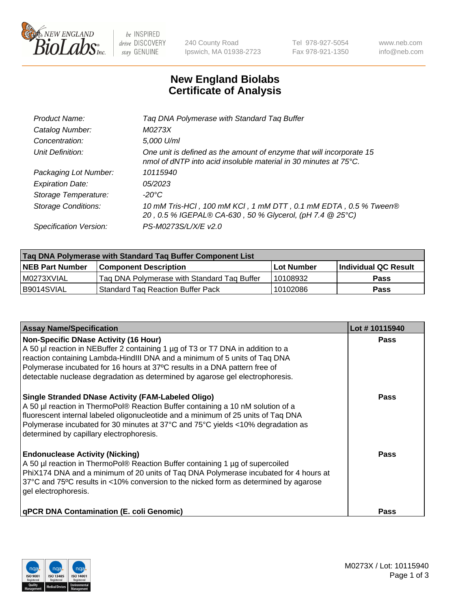

 $be$  INSPIRED drive DISCOVERY stay GENUINE

240 County Road Ipswich, MA 01938-2723 Tel 978-927-5054 Fax 978-921-1350 www.neb.com info@neb.com

## **New England Biolabs Certificate of Analysis**

| Product Name:              | Tag DNA Polymerase with Standard Tag Buffer                                                                                                        |
|----------------------------|----------------------------------------------------------------------------------------------------------------------------------------------------|
| Catalog Number:            | M0273X                                                                                                                                             |
| Concentration:             | 5,000 U/ml                                                                                                                                         |
| Unit Definition:           | One unit is defined as the amount of enzyme that will incorporate 15<br>nmol of dNTP into acid insoluble material in 30 minutes at $75^{\circ}$ C. |
| Packaging Lot Number:      | 10115940                                                                                                                                           |
| <b>Expiration Date:</b>    | 05/2023                                                                                                                                            |
| Storage Temperature:       | $-20^{\circ}$ C                                                                                                                                    |
| <b>Storage Conditions:</b> | 10 mM Tris-HCl, 100 mM KCl, 1 mM DTT, 0.1 mM EDTA, 0.5 % Tween®<br>20, 0.5 % IGEPAL® CA-630, 50 % Glycerol, (pH 7.4 @ 25°C)                        |
| Specification Version:     | PS-M0273S/L/X/E v2.0                                                                                                                               |

| Tag DNA Polymerase with Standard Tag Buffer Component List |                                             |                   |                      |  |
|------------------------------------------------------------|---------------------------------------------|-------------------|----------------------|--|
| <b>NEB Part Number</b>                                     | Component Description_                      | <b>Lot Number</b> | Individual QC Result |  |
| I M0273XVIAL                                               | Tag DNA Polymerase with Standard Tag Buffer | 10108932          | Pass                 |  |
| B9014SVIAL                                                 | <b>Standard Tag Reaction Buffer Pack</b>    | 10102086          | <b>Pass</b>          |  |

| <b>Assay Name/Specification</b>                                                                                                                                                                                                                                                                                                                                              | Lot #10115940 |
|------------------------------------------------------------------------------------------------------------------------------------------------------------------------------------------------------------------------------------------------------------------------------------------------------------------------------------------------------------------------------|---------------|
| <b>Non-Specific DNase Activity (16 Hour)</b><br>A 50 µl reaction in NEBuffer 2 containing 1 µg of T3 or T7 DNA in addition to a<br>reaction containing Lambda-HindIII DNA and a minimum of 5 units of Taq DNA<br>Polymerase incubated for 16 hours at 37°C results in a DNA pattern free of<br>detectable nuclease degradation as determined by agarose gel electrophoresis. | Pass          |
| <b>Single Stranded DNase Activity (FAM-Labeled Oligo)</b><br>A 50 µl reaction in ThermoPol® Reaction Buffer containing a 10 nM solution of a<br>fluorescent internal labeled oligonucleotide and a minimum of 25 units of Taq DNA<br>Polymerase incubated for 30 minutes at 37°C and 75°C yields <10% degradation as<br>determined by capillary electrophoresis.             | Pass          |
| <b>Endonuclease Activity (Nicking)</b><br>A 50 µl reaction in ThermoPol® Reaction Buffer containing 1 µg of supercoiled<br>PhiX174 DNA and a minimum of 20 units of Taq DNA Polymerase incubated for 4 hours at<br>37°C and 75°C results in <10% conversion to the nicked form as determined by agarose<br>gel electrophoresis.                                              | Pass          |
| <b>qPCR DNA Contamination (E. coli Genomic)</b>                                                                                                                                                                                                                                                                                                                              | Pass          |

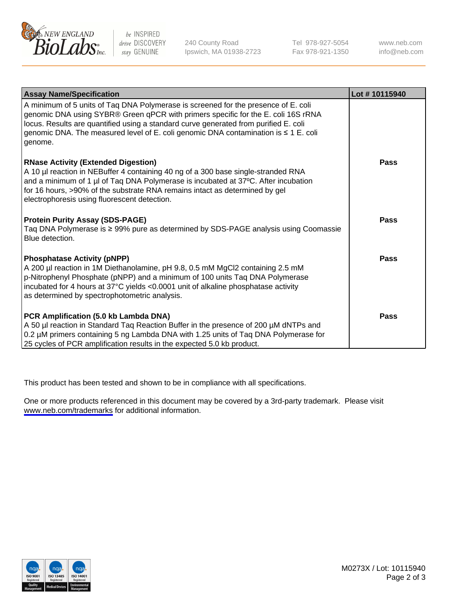

be INSPIRED drive DISCOVERY stay GENUINE

240 County Road Ipswich, MA 01938-2723 Tel 978-927-5054 Fax 978-921-1350

www.neb.com info@neb.com

| <b>Assay Name/Specification</b>                                                                                                                                                                                                                                                                                                                                   | Lot #10115940 |
|-------------------------------------------------------------------------------------------------------------------------------------------------------------------------------------------------------------------------------------------------------------------------------------------------------------------------------------------------------------------|---------------|
| A minimum of 5 units of Taq DNA Polymerase is screened for the presence of E. coli<br>genomic DNA using SYBR® Green qPCR with primers specific for the E. coli 16S rRNA<br>locus. Results are quantified using a standard curve generated from purified E. coli<br>genomic DNA. The measured level of E. coli genomic DNA contamination is ≤ 1 E. coli<br>genome. |               |
| <b>RNase Activity (Extended Digestion)</b><br>A 10 µl reaction in NEBuffer 4 containing 40 ng of a 300 base single-stranded RNA<br>and a minimum of 1 µl of Taq DNA Polymerase is incubated at 37°C. After incubation<br>for 16 hours, >90% of the substrate RNA remains intact as determined by gel<br>electrophoresis using fluorescent detection.              | <b>Pass</b>   |
| <b>Protein Purity Assay (SDS-PAGE)</b><br>Taq DNA Polymerase is ≥ 99% pure as determined by SDS-PAGE analysis using Coomassie<br>Blue detection.                                                                                                                                                                                                                  | <b>Pass</b>   |
| <b>Phosphatase Activity (pNPP)</b><br>A 200 µl reaction in 1M Diethanolamine, pH 9.8, 0.5 mM MgCl2 containing 2.5 mM<br>p-Nitrophenyl Phosphate (pNPP) and a minimum of 100 units Taq DNA Polymerase<br>incubated for 4 hours at 37°C yields <0.0001 unit of alkaline phosphatase activity<br>as determined by spectrophotometric analysis.                       | <b>Pass</b>   |
| PCR Amplification (5.0 kb Lambda DNA)<br>A 50 µl reaction in Standard Taq Reaction Buffer in the presence of 200 µM dNTPs and<br>0.2 µM primers containing 5 ng Lambda DNA with 1.25 units of Taq DNA Polymerase for<br>25 cycles of PCR amplification results in the expected 5.0 kb product.                                                                    | <b>Pass</b>   |

This product has been tested and shown to be in compliance with all specifications.

One or more products referenced in this document may be covered by a 3rd-party trademark. Please visit <www.neb.com/trademarks>for additional information.